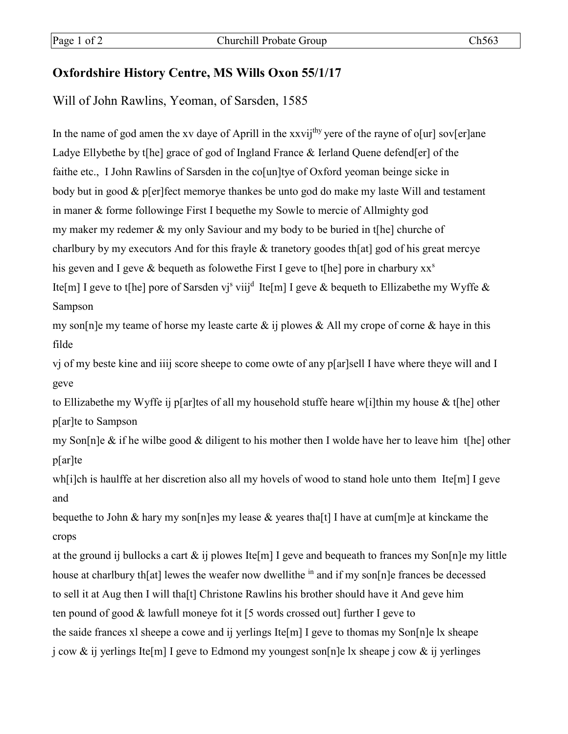## **Oxfordshire History Centre, MS Wills Oxon 55/1/17**

Will of John Rawlins, Yeoman, of Sarsden, 1585

In the name of god amen the xv daye of Aprill in the xxvij<sup>thy</sup> yere of the rayne of o[ur] sov[er]ane Ladye Ellybethe by t[he] grace of god of Ingland France & Ierland Quene defend[er] of the faithe etc., I John Rawlins of Sarsden in the colum ltye of Oxford yeoman beinge sicke in body but in good & p[er]fect memorye thankes be unto god do make my laste Will and testament in maner & forme followinge First I bequethe my Sowle to mercie of Allmighty god my maker my redemer & my only Saviour and my body to be buried in t[he] churche of charlbury by my executors And for this frayle & tranetory goodes th[at] god of his great mercye his geven and I geve & bequeth as folowethe First I geve to t[he] pore in charbury xx<sup>s</sup> Ite[m] I geve to t[he] pore of Sarsden vj<sup>s</sup> viij<sup>d</sup> Ite[m] I geve & bequeth to Ellizabethe my Wyffe & Sampson

my son [n] e my teame of horse my leaste carte  $\&$  ij plowes  $\&$  All my crope of corne  $\&$  have in this filde

vj of my beste kine and iiij score sheepe to come owte of any p[ar]sell I have where theye will and I geve

to Ellizabethe my Wyffe ij p[ar]tes of all my household stuffe heare w[i]thin my house & t[he] other  $p[ar]$ te to Sampson

my Son[n]e & if he wilbe good & diligent to his mother then I wolde have her to leave him t[he] other  $p[ar]te$ 

wh[i]ch is haulffe at her discretion also all my hovels of wood to stand hole unto them Ite[m] I geve and

bequether to John & hary my son [n] essay lease & yeares that if I have at cum [m] e at kinckame the crops

at the ground ij bullocks a cart  $\&$  ij plowes Ite[m] I geve and bequeath to frances my Son[n]e my little house at charlbury th[at] lewes the weafer now dwellithe <sup>in</sup> and if my son[n]e frances be decessed to sell it at Aug then I will that I Christone Rawlins his brother should have it And geve him ten pound of good & lawfull moneye fot it [5 words crossed out] further I geve to the saide frances xl sheepe a cowe and ij yerlings Ite[m] I geve to thomas my Son[n]e lx sheape j cow & ij yerlings Ite[m] I geve to Edmond my youngest son[n]e lx sheape j cow & ij yerlinges